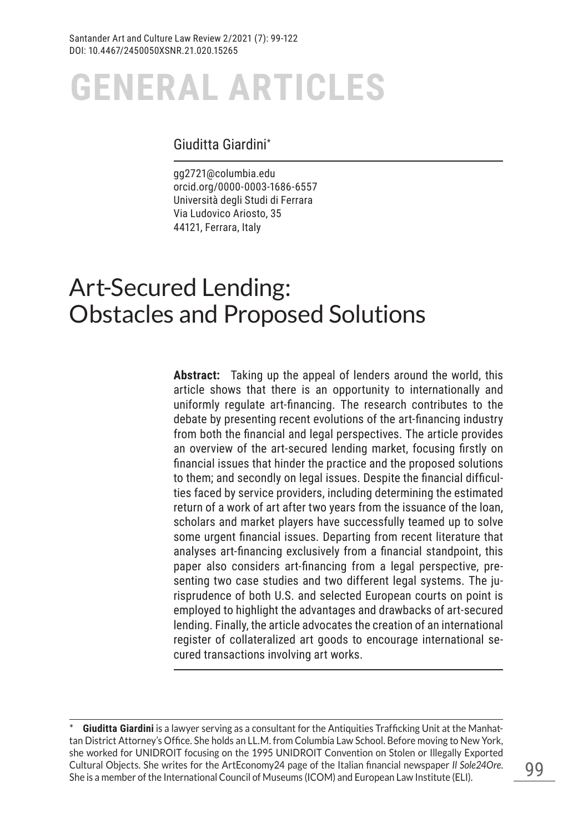## Giuditta Giardini\*

gg2721@columbia.edu orcid.org/0000-0003-1686-6557 Università degli Studi di Ferrara Via Ludovico Ariosto, 35 44121, Ferrara, Italy

## Art-Secured Lending: Obstacles and Proposed Solutions

**Abstract:** Taking up the appeal of lenders around the world, this article shows that there is an opportunity to internationally and uniformly regulate art-financing. The research contributes to the debate by presenting recent evolutions of the art-financing industry from both the financial and legal perspectives. The article provides an overview of the art-secured lending market, focusing firstly on financial issues that hinder the practice and the proposed solutions to them; and secondly on legal issues. Despite the financial difficulties faced by service providers, including determining the estimated return of a work of art after two years from the issuance of the loan, scholars and market players have successfully teamed up to solve some urgent financial issues. Departing from recent literature that analyses art-financing exclusively from a financial standpoint, this paper also considers art-financing from a legal perspective, presenting two case studies and two different legal systems. The jurisprudence of both U.S. and selected European courts on point is employed to highlight the advantages and drawbacks of art-secured lending. Finally, the article advocates the creation of an international register of collateralized art goods to encourage international secured transactions involving art works.

Giuditta Giardini is a lawyer serving as a consultant for the Antiquities Trafficking Unit at the Manhattan District Attorney's Office. She holds an LL.M. from Columbia Law School. Before moving to New York, she worked for UNIDROIT focusing on the 1995 UNIDROIT Convention on Stolen or Illegally Exported Cultural Objects. She writes for the ArtEconomy24 page of the Italian financial newspaper *Il Sole24Ore*. She is a member of the International Council of Museums (ICOM) and European Law Institute (ELI).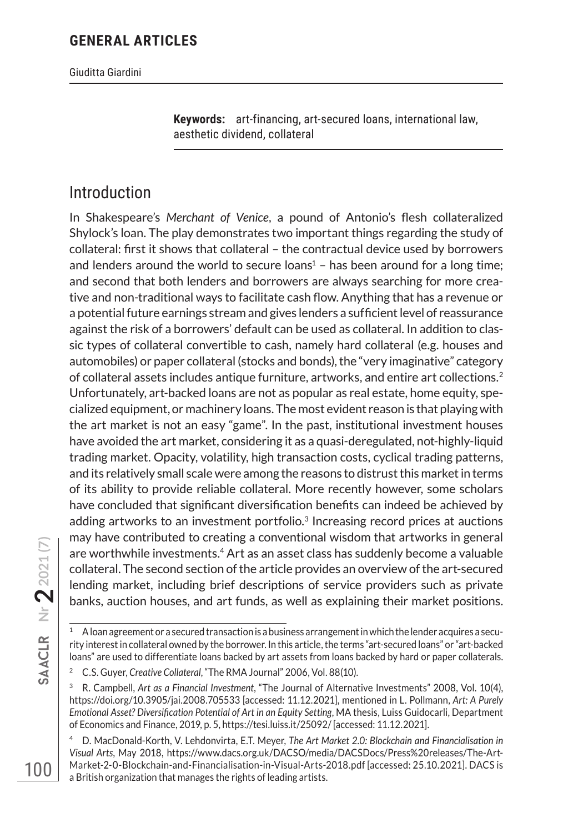Giuditta Giardini

**Keywords:** art-financing, art-secured loans, international law, aesthetic dividend, collateral

## Introduction

In Shakespeare's *Merchant of Venice*, a pound of Antonio's flesh collateralized Shylock's loan. The play demonstrates two important things regarding the study of collateral: first it shows that collateral – the contractual device used by borrowers and lenders around the world to secure loans $1 -$  has been around for a long time; and second that both lenders and borrowers are always searching for more creative and non-traditional ways to facilitate cash flow. Anything that has a revenue or a potential future earnings stream and gives lenders a sufficient level of reassurance against the risk of a borrowers' default can be used as collateral. In addition to classic types of collateral convertible to cash, namely hard collateral (e.g. houses and automobiles) or paper collateral (stocks and bonds), the "very imaginative" category of collateral assets includes antique furniture, artworks, and entire art collections.2 Unfortunately, art-backed loans are not as popular as real estate, home equity, specialized equipment, or machinery loans. The most evident reason is that playing with the art market is not an easy "game". In the past, institutional investment houses have avoided the art market, considering it as a quasi-deregulated, not-highly-liquid trading market. Opacity, volatility, high transaction costs, cyclical trading patterns, and its relatively small scale were among the reasons to distrust this market in terms of its ability to provide reliable collateral. More recently however, some scholars have concluded that significant diversification benefits can indeed be achieved by adding artworks to an investment portfolio.<sup>3</sup> Increasing record prices at auctions may have contributed to creating a conventional wisdom that artworks in general are worthwhile investments.4 Art as an asset class has suddenly become a valuable collateral. The second section of the article provides an overview of the art-secured lending market, including brief descriptions of service providers such as private banks, auction houses, and art funds, as well as explaining their market positions.

<sup>1</sup> A loan agreement or a secured transaction is a business arrangement in which the lender acquires a security interest in collateral owned by the borrower. In this article, the terms "art-secured loans" or "art-backed loans" are used to differentiate loans backed by art assets from loans backed by hard or paper collaterals.

<sup>2</sup> C.S. Guyer, *Creative Collateral*, "The RMA Journal" 2006, Vol. 88(10).

<sup>3</sup> R. Campbell, *Art as a Financial Investment*, "The Journal of Alternative Investments" 2008, Vol. 10(4), https://doi.org/10.3905/jai.2008.705533 [accessed: 11.12.2021], mentioned in L. Pollmann, *Art: A Purely Emotional Asset? Diversification Potential of Art in an Equity Setting*, MA thesis, Luiss Guidocarli, Department of Economics and Finance, 2019, p. 5, https://tesi.luiss.it/25092/ [accessed: 11.12.2021].

<sup>4</sup> D. MacDonald-Korth, V. Lehdonvirta, E.T. Meyer, *The Art Market 2.0: Blockchain and Financialisation in Visual Arts*, May 2018, https://www.dacs.org.uk/DACSO/media/DACSDocs/Press%20releases/The-Art-Market-2-0-Blockchain-and-Financialisation-in-Visual-Arts-2018.pdf [accessed: 25.10.2021]. DACS is a British organization that manages the rights of leading artists.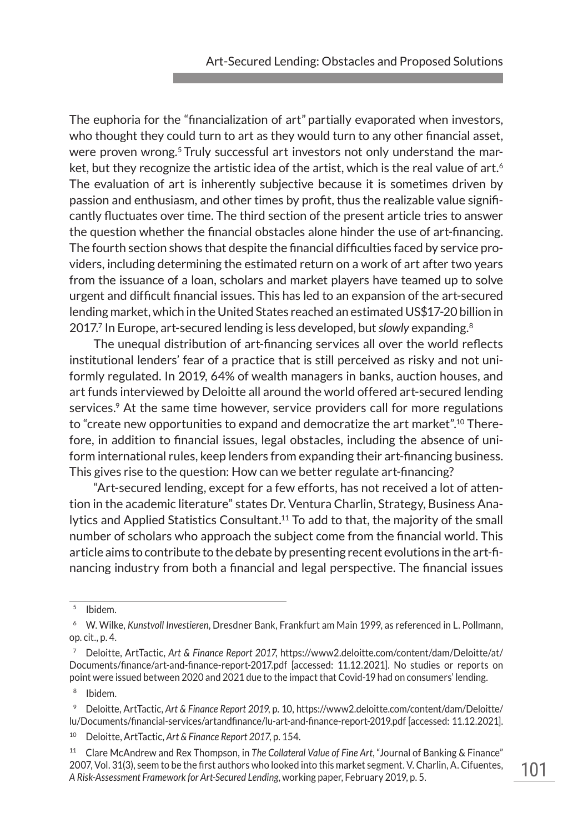The euphoria for the "financialization of art" partially evaporated when investors, who thought they could turn to art as they would turn to any other financial asset, were proven wrong.<sup>5</sup> Truly successful art investors not only understand the market, but they recognize the artistic idea of the artist, which is the real value of art.<sup>6</sup> The evaluation of art is inherently subjective because it is sometimes driven by passion and enthusiasm, and other times by profit, thus the realizable value significantly fluctuates over time. The third section of the present article tries to answer the question whether the financial obstacles alone hinder the use of art-financing. The fourth section shows that despite the financial difficulties faced by service providers, including determining the estimated return on a work of art after two years from the issuance of a loan, scholars and market players have teamed up to solve urgent and difficult financial issues. This has led to an expansion of the art-secured lending market, which in the United States reached an estimated US\$17-20 billion in 2017.7 In Europe, art-secured lending is less developed, but *slowly* expanding.8

The unequal distribution of art-financing services all over the world reflects institutional lenders' fear of a practice that is still perceived as risky and not uniformly regulated. In 2019, 64% of wealth managers in banks, auction houses, and art funds interviewed by Deloitte all around the world offered art-secured lending services.<sup>9</sup> At the same time however, service providers call for more regulations to "create new opportunities to expand and democratize the art market".10 Therefore, in addition to financial issues, legal obstacles, including the absence of uniform international rules, keep lenders from expanding their art-financing business. This gives rise to the question: How can we better regulate art-financing?

"Art-secured lending, except for a few efforts, has not received a lot of attention in the academic literature" states Dr. Ventura Charlin, Strategy, Business Analytics and Applied Statistics Consultant.11 To add to that, the majority of the small number of scholars who approach the subject come from the financial world. This article aims to contribute to the debate by presenting recent evolutions in the art-financing industry from both a financial and legal perspective. The financial issues

 $<sup>5</sup>$  Ibidem.</sup>

<sup>06</sup> W. Wilke, *Kunstvoll Investieren*, Dresdner Bank, Frankfurt am Main 1999, as referenced in L. Pollmann, op. cit., p. 4.

<sup>07</sup> Deloitte, ArtTactic, *Art & Finance Report 2017*, https://www2.deloitte.com/content/dam/Deloitte/at/ Documents/finance/art-and-finance-report-2017.pdf [accessed: 11.12.2021]. No studies or reports on point were issued between 2020 and 2021 due to the impact that Covid-19 had on consumers' lending.

Ibidem.

<sup>&</sup>lt;sup>9</sup> Deloitte, ArtTactic, Art & Finance Report 2019, p. 10, https://www2.deloitte.com/content/dam/Deloitte/ lu/Documents/financial-services/artandfinance/lu-art-and-finance-report-2019.pdf [accessed: 11.12.2021].

<sup>10</sup> Deloitte, ArtTactic, *Art & Finance Report 2017*, p. 154.

<sup>11</sup> Clare McAndrew and Rex Thompson, in *The Collateral Value of Fine Art*, "Journal of Banking & Finance" 2007, Vol. 31(3), seem to be the first authors who looked into this market segment. V. Charlin, A. Cifuentes, *A Risk-Assessment Framework for Art-Secured Lending*, working paper, February 2019, p. 5.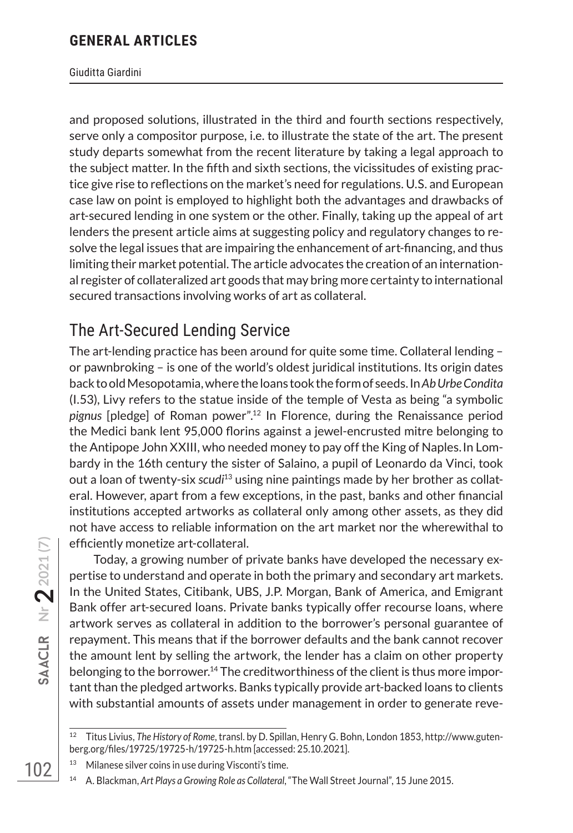#### Giuditta Giardini

and proposed solutions, illustrated in the third and fourth sections respectively, serve only a compositor purpose, i.e. to illustrate the state of the art. The present study departs somewhat from the recent literature by taking a legal approach to the subject matter. In the fifth and sixth sections, the vicissitudes of existing practice give rise to reflections on the market's need for regulations. U.S. and European case law on point is employed to highlight both the advantages and drawbacks of art-secured lending in one system or the other. Finally, taking up the appeal of art lenders the present article aims at suggesting policy and regulatory changes to resolve the legal issues that are impairing the enhancement of art-financing, and thus limiting their market potential. The article advocates the creation of an international register of collateralized art goods that may bring more certainty to international secured transactions involving works of art as collateral.

## The Art-Secured Lending Service

The art-lending practice has been around for quite some time. Collateral lending – or pawnbroking – is one of the world's oldest juridical institutions. Its origin dates back to old Mesopotamia, where the loans took the form of seeds. In *Ab Urbe Condita*  (I.53), Livy refers to the statue inside of the temple of Vesta as being "a symbolic *pignus* [pledge] of Roman power".12 In Florence, during the Renaissance period the Medici bank lent 95,000 florins against a jewel-encrusted mitre belonging to the Antipope John XXIII, who needed money to pay off the King of Naples.In Lombardy in the 16th century the sister of Salaino, a pupil of Leonardo da Vinci, took out a loan of twenty-six *scudi*<sup>13</sup> using nine paintings made by her brother as collateral. However, apart from a few exceptions, in the past, banks and other financial institutions accepted artworks as collateral only among other assets, as they did not have access to reliable information on the art market nor the wherewithal to efficiently monetize art-collateral.

Today, a growing number of private banks have developed the necessary expertise to understand and operate in both the primary and secondary art markets. In the United States, Citibank, UBS, J.P. Morgan, Bank of America, and Emigrant Bank offer art-secured loans. Private banks typically offer recourse loans, where artwork serves as collateral in addition to the borrower's personal guarantee of repayment. This means that if the borrower defaults and the bank cannot recover the amount lent by selling the artwork, the lender has a claim on other property belonging to the borrower.<sup>14</sup> The creditworthiness of the client is thus more important than the pledged artworks. Banks typically provide art-backed loans to clients with substantial amounts of assets under management in order to generate reve-

<sup>12</sup> Titus Livius, *The History of Rome*, transl. by D. Spillan, Henry G. Bohn, London 1853, http://www.gutenberg.org/files/19725/19725-h/19725-h.htm [accessed: 25.10.2021].

Milanese silver coins in use during Visconti's time.

<sup>14</sup> A. Blackman, *Art Plays a Growing Role as Collateral*, "The Wall Street Journal", 15 June 2015.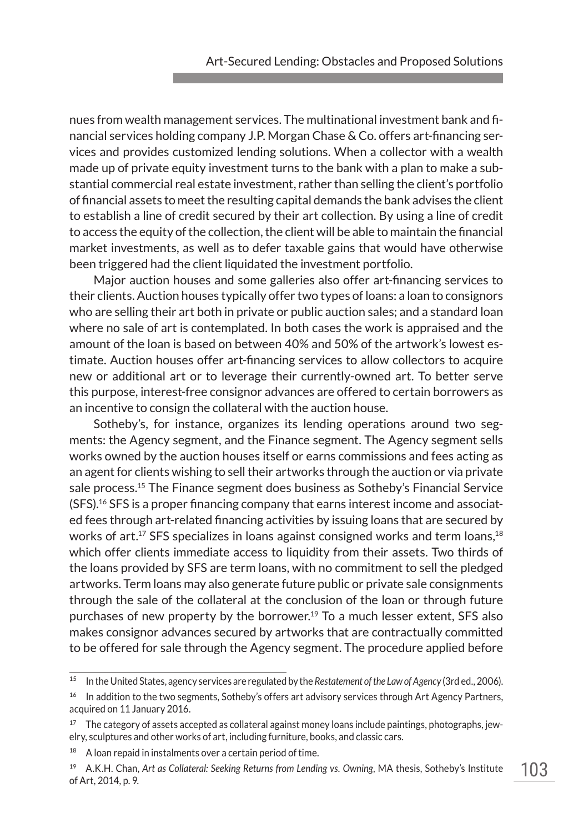nues from wealth management services. The multinational investment bank and financial services holding company J.P. Morgan Chase & Co. offers art-financing services and provides customized lending solutions. When a collector with a wealth made up of private equity investment turns to the bank with a plan to make a substantial commercial real estate investment, rather than selling the client's portfolio of financial assets to meet the resulting capital demands the bank advises the client to establish a line of credit secured by their art collection. By using a line of credit to access the equity of the collection, the client will be able to maintain the financial market investments, as well as to defer taxable gains that would have otherwise been triggered had the client liquidated the investment portfolio.

Major auction houses and some galleries also offer art-financing services to their clients. Auction houses typically offer two types of loans: a loan to consignors who are selling their art both in private or public auction sales; and a standard loan where no sale of art is contemplated. In both cases the work is appraised and the amount of the loan is based on between 40% and 50% of the artwork's lowest estimate. Auction houses offer art-financing services to allow collectors to acquire new or additional art or to leverage their currently-owned art. To better serve this purpose, interest-free consignor advances are offered to certain borrowers as an incentive to consign the collateral with the auction house.

Sotheby's, for instance, organizes its lending operations around two segments: the Agency segment, and the Finance segment. The Agency segment sells works owned by the auction houses itself or earns commissions and fees acting as an agent for clients wishing to sell their artworks through the auction or via private sale process.15 The Finance segment does business as Sotheby's Financial Service  $(SFS).<sup>16</sup> SFS$  is a proper financing company that earns interest income and associated fees through art-related financing activities by issuing loans that are secured by works of art.<sup>17</sup> SFS specializes in loans against consigned works and term loans,  $18$ which offer clients immediate access to liquidity from their assets. Two thirds of the loans provided by SFS are term loans, with no commitment to sell the pledged artworks. Term loans may also generate future public or private sale consignments through the sale of the collateral at the conclusion of the loan or through future purchases of new property by the borrower.<sup>19</sup> To a much lesser extent, SFS also makes consignor advances secured by artworks that are contractually committed to be offered for sale through the Agency segment. The procedure applied before

<sup>15</sup> In the United States, agency services are regulated by the *Restatement of the Law of Agency* (3rd ed., 2006).

<sup>&</sup>lt;sup>16</sup> In addition to the two segments, Sotheby's offers art advisory services through Art Agency Partners, acquired on 11 January 2016.

<sup>&</sup>lt;sup>17</sup> The category of assets accepted as collateral against money loans include paintings, photographs, jewelry, sculptures and other works of art, including furniture, books, and classic cars.

<sup>&</sup>lt;sup>18</sup> A loan repaid in instalments over a certain period of time.

<sup>19</sup> A.K.H. Chan, *Art as Collateral: Seeking Returns from Lending vs. Owning*, MA thesis, Sotheby's Institute of Art, 2014, p. 9.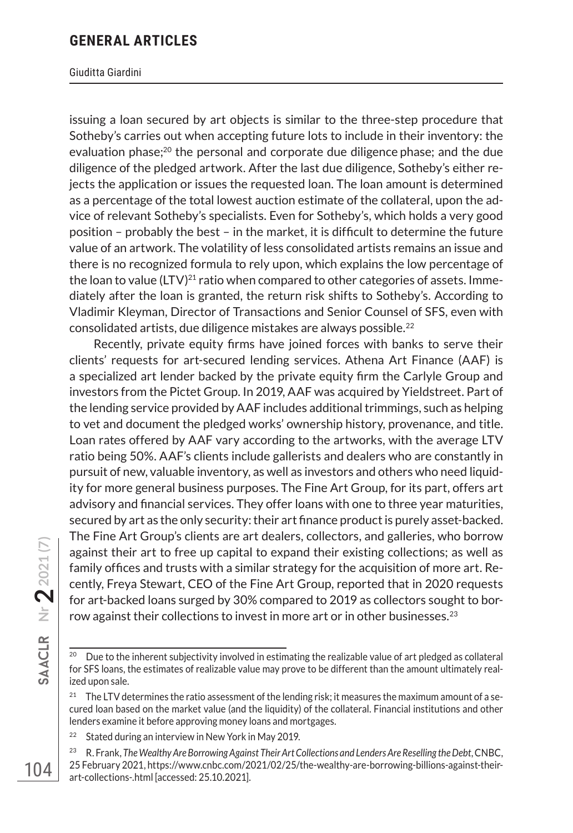#### Giuditta Giardini

issuing a loan secured by art objects is similar to the three-step procedure that Sotheby's carries out when accepting future lots to include in their inventory: the evaluation phase;20 the personal and corporate due diligence phase; and the due diligence of the pledged artwork. After the last due diligence, Sotheby's either rejects the application or issues the requested loan. The loan amount is determined as a percentage of the total lowest auction estimate of the collateral, upon the advice of relevant Sotheby's specialists. Even for Sotheby's, which holds a very good position – probably the best – in the market, it is difficult to determine the future value of an artwork. The volatility of less consolidated artists remains an issue and there is no recognized formula to rely upon, which explains the low percentage of the loan to value  $(LTV)^{21}$  ratio when compared to other categories of assets. Immediately after the loan is granted, the return risk shifts to Sotheby's. According to Vladimir Kleyman, Director of Transactions and Senior Counsel of SFS, even with consolidated artists, due diligence mistakes are always possible.22

Recently, private equity firms have joined forces with banks to serve their clients' requests for art-secured lending services. Athena Art Finance (AAF) is a specialized art lender backed by the private equity firm the Carlyle Group and investors from the Pictet Group. In 2019, AAF was acquired by Yieldstreet. Part of the lending service provided by AAF includes additional trimmings, such as helping to vet and document the pledged works' ownership history, provenance, and title. Loan rates offered by AAF vary according to the artworks, with the average LTV ratio being 50%. AAF's clients include gallerists and dealers who are constantly in pursuit of new, valuable inventory, as well as investors and others who need liquidity for more general business purposes. The Fine Art Group, for its part, offers art advisory and financial services. They offer loans with one to three year maturities, secured by art as the only security: their art finance product is purely asset-backed. The Fine Art Group's clients are art dealers, collectors, and galleries, who borrow against their art to free up capital to expand their existing collections; as well as family offices and trusts with a similar strategy for the acquisition of more art. Recently, Freya Stewart, CEO of the Fine Art Group, reported that in 2020 requests for art-backed loans surged by 30% compared to 2019 as collectors sought to borrow against their collections to invest in more art or in other businesses.<sup>23</sup>

Due to the inherent subjectivity involved in estimating the realizable value of art pledged as collateral for SFS loans, the estimates of realizable value may prove to be different than the amount ultimately realized upon sale.

<sup>&</sup>lt;sup>21</sup> The LTV determines the ratio assessment of the lending risk; it measures the maximum amount of a secured loan based on the market value (and the liquidity) of the collateral. Financial institutions and other lenders examine it before approving money loans and mortgages.

<sup>&</sup>lt;sup>22</sup> Stated during an interview in New York in May 2019.

<sup>23</sup> R. Frank, *The Wealthy Are Borrowing Against Their Art Collections and Lenders Are Reselling the Debt*, CNBC, 25 February 2021, https://www.cnbc.com/2021/02/25/the-wealthy-are-borrowing-billions-against-theirart-collections-.html [accessed: 25.10.2021].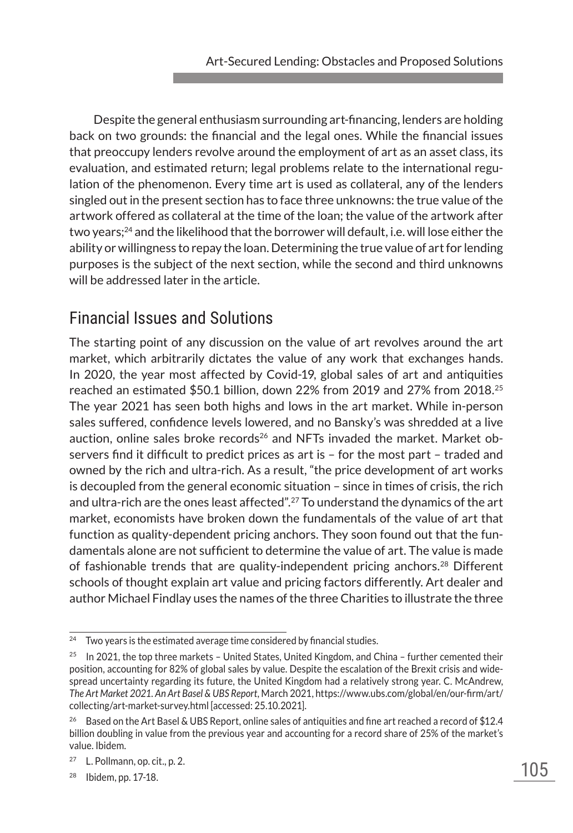Despite the general enthusiasm surrounding art-financing, lenders are holding back on two grounds: the financial and the legal ones. While the financial issues that preoccupy lenders revolve around the employment of art as an asset class, its evaluation, and estimated return; legal problems relate to the international regulation of the phenomenon. Every time art is used as collateral, any of the lenders singled out in the present section has to face three unknowns: the true value of the artwork offered as collateral at the time of the loan; the value of the artwork after two years;24 and the likelihood that the borrower will default, i.e. will lose either the ability or willingness to repay the loan. Determining the true value of art for lending purposes is the subject of the next section, while the second and third unknowns will be addressed later in the article.

## Financial Issues and Solutions

The starting point of any discussion on the value of art revolves around the art market, which arbitrarily dictates the value of any work that exchanges hands. In 2020, the year most affected by Covid-19, global sales of art and antiquities reached an estimated \$50.1 billion, down 22% from 2019 and 27% from 2018.25 The year 2021 has seen both highs and lows in the art market. While in-person sales suffered, confidence levels lowered, and no Bansky's was shredded at a live auction, online sales broke records<sup>26</sup> and NFTs invaded the market. Market observers find it difficult to predict prices as art is – for the most part – traded and owned by the rich and ultra-rich. As a result, "the price development of art works is decoupled from the general economic situation – since in times of crisis, the rich and ultra-rich are the ones least affected".27 To understand the dynamics of the art market, economists have broken down the fundamentals of the value of art that function as quality-dependent pricing anchors. They soon found out that the fundamentals alone are not sufficient to determine the value of art. The value is made of fashionable trends that are quality-independent pricing anchors.28 Different schools of thought explain art value and pricing factors differently. Art dealer and author Michael Findlay uses the names of the three Charities to illustrate the three

 $24$  Two years is the estimated average time considered by financial studies.

 $25$  In 2021, the top three markets – United States, United Kingdom, and China – further cemented their position, accounting for 82% of global sales by value. Despite the escalation of the Brexit crisis and widespread uncertainty regarding its future, the United Kingdom had a relatively strong year. C. McAndrew, *The Art Market 2021. An Art Basel & UBS Report*, March 2021, https://www.ubs.com/global/en/our-firm/art/ collecting/art-market-survey.html [accessed: 25.10.2021].

<sup>&</sup>lt;sup>26</sup> Based on the Art Basel & UBS Report, online sales of antiquities and fine art reached a record of \$12.4 billion doubling in value from the previous year and accounting for a record share of 25% of the market's value. Ibidem.

<sup>27</sup> L. Pollmann, op. cit., p. 2.

<sup>28</sup> Ibidem, pp. 17-18.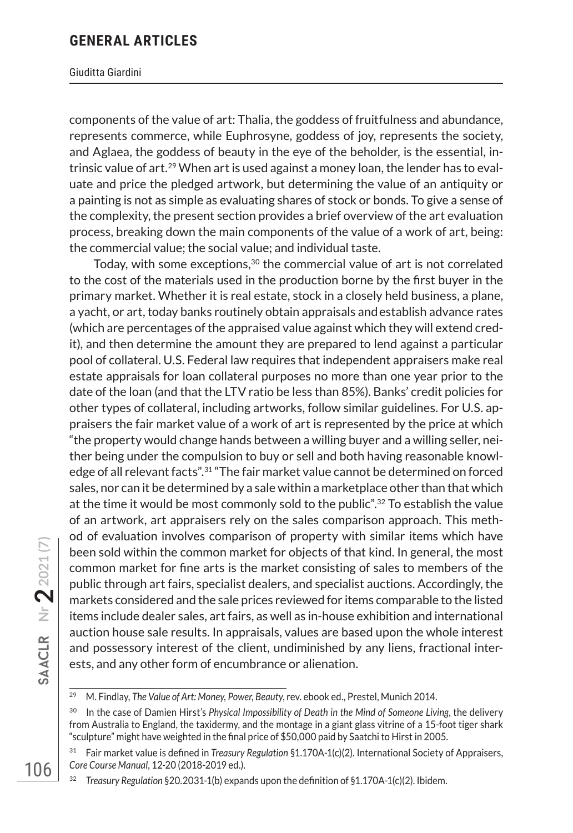#### Giuditta Giardini

components of the value of art: Thalia, the goddess of fruitfulness and abundance, represents commerce, while Euphrosyne, goddess of joy, represents the society, and Aglaea, the goddess of beauty in the eye of the beholder, is the essential, intrinsic value of art.29 When art is used against a money loan, the lender has to evaluate and price the pledged artwork, but determining the value of an antiquity or a painting is not as simple as evaluating shares of stock or bonds. To give a sense of the complexity, the present section provides a brief overview of the art evaluation process, breaking down the main components of the value of a work of art, being: the commercial value; the social value; and individual taste.

Today, with some exceptions, $30$  the commercial value of art is not correlated to the cost of the materials used in the production borne by the first buyer in the primary market. Whether it is real estate, stock in a closely held business, a plane, a yacht, or art, today banks routinely obtain appraisals andestablish advance rates (which are percentages of the appraised value against which they will extend credit), and then determine the amount they are prepared to lend against a particular pool of collateral. U.S. Federal law requires that independent appraisers make real estate appraisals for loan collateral purposes no more than one year prior to the date of the loan (and that the LTV ratio be less than 85%). Banks' credit policies for other types of collateral, including artworks, follow similar guidelines. For U.S. appraisers the fair market value of a work of art is represented by the price at which "the property would change hands between a willing buyer and a willing seller, neither being under the compulsion to buy or sell and both having reasonable knowledge of all relevant facts".31 "The fair market value cannot be determined on forced sales, nor can it be determined by a sale within a marketplace other than that which at the time it would be most commonly sold to the public".32 To establish the value of an artwork, art appraisers rely on the sales comparison approach. This method of evaluation involves comparison of property with similar items which have been sold within the common market for objects of that kind. In general, the most common market for fine arts is the market consisting of sales to members of the public through art fairs, specialist dealers, and specialist auctions. Accordingly, the markets considered and the sale prices reviewed for items comparable to the listed items include dealer sales, art fairs, as well as in-house exhibition and international auction house sale results. In appraisals, values are based upon the whole interest and possessory interest of the client, undiminished by any liens, fractional interests, and any other form of encumbrance or alienation.

<sup>29</sup> M. Findlay, *The Value of Art: Money, Power, Beauty*, rev. ebook ed., Prestel, Munich 2014.

<sup>30</sup> In the case of Damien Hirst's *Physical Impossibility of Death in the Mind of Someone Living*, the delivery from Australia to England, the taxidermy, and the montage in a giant glass vitrine of a 15-foot tiger shark "sculpture" might have weighted in the final price of \$50,000 paid by Saatchi to Hirst in 2005.

<sup>31</sup> Fair market value is defined in *Treasury Regulation* §1.170A-1(c)(2). International Society of Appraisers, *Core Course Manual*, 12-20 (2018-2019 ed.).

<sup>32</sup> *Treasury Regulation* §20.2031-1(b) expands upon the definition of §1.170A-1(c)(2). Ibidem.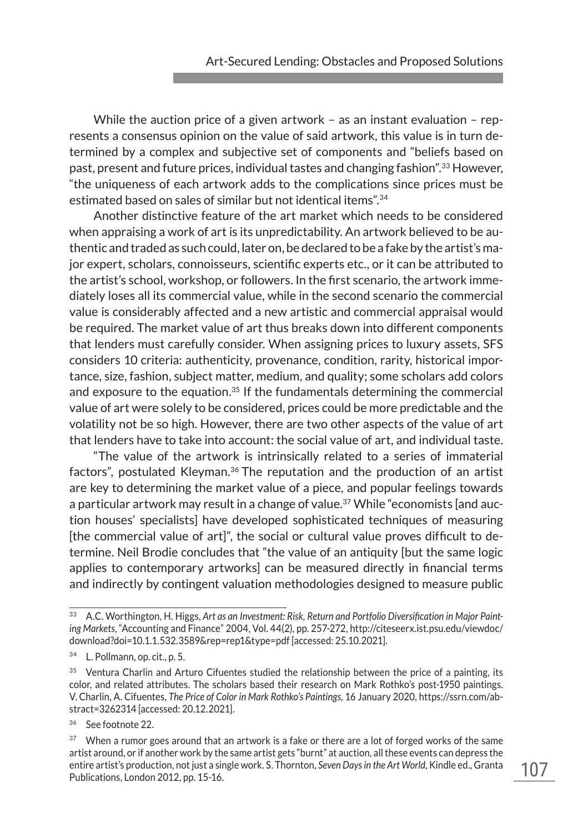While the auction price of a given artwork - as an instant evaluation - represents a consensus opinion on the value of said artwork, this value is in turn determined by a complex and subjective set of components and "beliefs based on past, present and future prices, individual tastes and changing fashion".33 However, "the uniqueness of each artwork adds to the complications since prices must be estimated based on sales of similar but not identical items".34

Another distinctive feature of the art market which needs to be considered when appraising a work of art is its unpredictability. An artwork believed to be authentic and traded as such could, later on, be declared to be a fake by the artist's major expert, scholars, connoisseurs, scientific experts etc., or it can be attributed to the artist's school, workshop, or followers. In the first scenario, the artwork immediately loses all its commercial value, while in the second scenario the commercial value is considerably affected and a new artistic and commercial appraisal would be required. The market value of art thus breaks down into different components that lenders must carefully consider. When assigning prices to luxury assets, SFS considers 10 criteria: authenticity, provenance, condition, rarity, historical importance, size, fashion, subject matter, medium, and quality; some scholars add colors and exposure to the equation.<sup>35</sup> If the fundamentals determining the commercial value of art were solely to be considered, prices could be more predictable and the volatility not be so high. However, there are two other aspects of the value of art that lenders have to take into account: the social value of art, and individual taste.

"The value of the artwork is intrinsically related to a series of immaterial factors", postulated Kleyman.<sup>36</sup> The reputation and the production of an artist are key to determining the market value of a piece, and popular feelings towards a particular artwork may result in a change of value.37 While "economists [and auction houses' specialists] have developed sophisticated techniques of measuring [the commercial value of art]", the social or cultural value proves difficult to determine. Neil Brodie concludes that "the value of an antiquity [but the same logic applies to contemporary artworks] can be measured directly in financial terms and indirectly by contingent valuation methodologies designed to measure public

<sup>33</sup> A.C. Worthington, H. Higgs, *Art as an Investment: Risk, Return and Portfolio Diversification in Major Painting Markets*, "Accounting and Finance" 2004, Vol. 44(2), pp. 257-272, http://citeseerx.ist.psu.edu/viewdoc/ download?doi=10.1.1.532.3589&rep=rep1&type=pdf [accessed: 25.10.2021].

<sup>34</sup> L. Pollmann, op. cit., p. 5.

<sup>&</sup>lt;sup>35</sup> Ventura Charlin and Arturo Cifuentes studied the relationship between the price of a painting, its color, and related attributes. The scholars based their research on Mark Rothko's post-1950 paintings. V. Charlin, A. Cifuentes, *The Price of Color in Mark Rothko's Paintings*, 16 January 2020, https://ssrn.com/abstract=3262314 [accessed: 20.12.2021].

<sup>36</sup> See footnote 22.

 $37$  When a rumor goes around that an artwork is a fake or there are a lot of forged works of the same artist around, or if another work by the same artist gets "burnt" at auction, all these events can depress the entire artist's production, not just a single work. S. Thornton, *Seven Days in the Art World*, Kindle ed., Granta Publications, London 2012, pp. 15-16.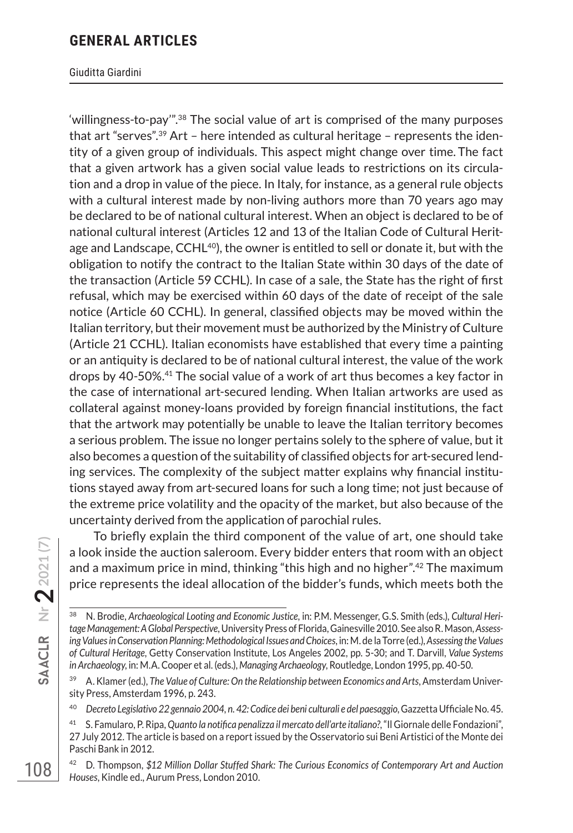#### Giuditta Giardini

'willingness-to-pay'".38 The social value of art is comprised of the many purposes that art "serves".39 Art – here intended as cultural heritage – represents the identity of a given group of individuals. This aspect might change over time. The fact that a given artwork has a given social value leads to restrictions on its circulation and a drop in value of the piece. In Italy, for instance, as a general rule objects with a cultural interest made by non-living authors more than 70 years ago may be declared to be of national cultural interest. When an object is declared to be of national cultural interest (Articles 12 and 13 of the Italian Code of Cultural Heritage and Landscape,  $CCHL^{40}$ , the owner is entitled to sell or donate it, but with the obligation to notify the contract to the Italian State within 30 days of the date of the transaction (Article 59 CCHL). In case of a sale, the State has the right of first refusal, which may be exercised within 60 days of the date of receipt of the sale notice (Article 60 CCHL). In general, classified objects may be moved within the Italian territory, but their movement must be authorized by the Ministry of Culture (Article 21 CCHL). Italian economists have established that every time a painting or an antiquity is declared to be of national cultural interest, the value of the work drops by 40-50%.41 The social value of a work of art thus becomes a key factor in the case of international art-secured lending. When Italian artworks are used as collateral against money-loans provided by foreign financial institutions, the fact that the artwork may potentially be unable to leave the Italian territory becomes a serious problem. The issue no longer pertains solely to the sphere of value, but it also becomes a question of the suitability of classified objects for art-secured lending services. The complexity of the subject matter explains why financial institutions stayed away from art-secured loans for such a long time; not just because of the extreme price volatility and the opacity of the market, but also because of the uncertainty derived from the application of parochial rules.

To briefly explain the third component of the value of art, one should take a look inside the auction saleroom. Every bidder enters that room with an object and a maximum price in mind, thinking "this high and no higher".42 The maximum price represents the ideal allocation of the bidder's funds, which meets both the

<sup>38</sup> N. Brodie, *Archaeological Looting and Economic Justice*, in: P.M. Messenger, G.S. Smith (eds.), *Cultural Heritage Management: A Global Perspective*, University Press of Florida, Gainesville 2010. See also R. Mason, *Assessing Values in Conservation Planning: Methodological Issues and Choices*, in: M. de la Torre (ed.), *Assessing the Values of Cultural Heritage*, Getty Conservation Institute, Los Angeles 2002, pp. 5-30; and T. Darvill, *Value Systems in Archaeology*, in: M.A. Cooper et al. (eds.), *Managing Archaeology*, Routledge, London 1995, pp. 40-50.

<sup>39</sup> A. Klamer (ed.), *The Value of Culture: On the Relationship between Economics and Arts*, Amsterdam University Press, Amsterdam 1996, p. 243.

<sup>40</sup> *Decreto Legislativo 22 gennaio 2004, n. 42: Codice dei beni culturali e del paesaggio*, Gazzetta Ufficiale No. 45.

<sup>41</sup> S. Famularo, P. Ripa, *Quanto la notifica penalizza il mercato dell'arte italiano?*, "Il Giornale delle Fondazioni", 27 July 2012. The article is based on a report issued by the Osservatorio sui Beni Artistici of the Monte dei Paschi Bank in 2012.

<sup>42</sup> D. Thompson, *\$12 Million Dollar Stuffed Shark: The Curious Economics of Contemporary Art and Auction Houses*, Kindle ed., Aurum Press, London 2010.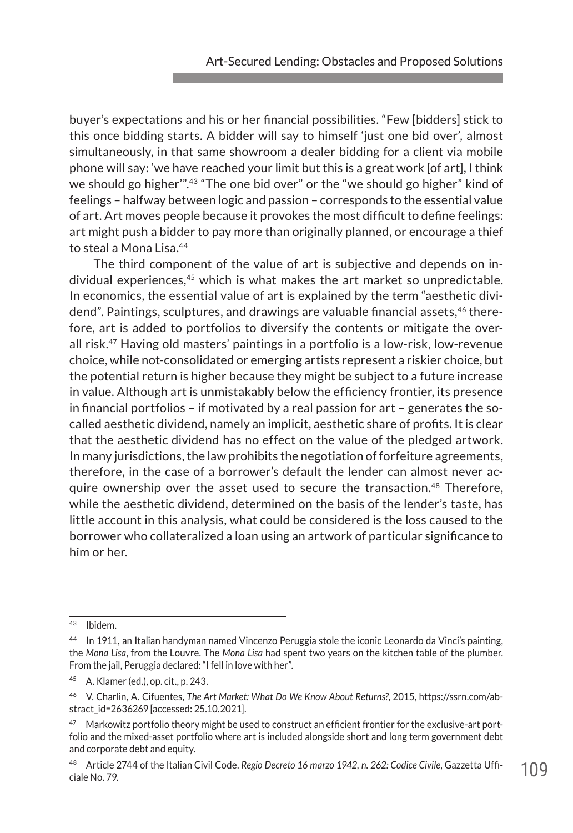buyer's expectations and his or her financial possibilities. "Few [bidders] stick to this once bidding starts. A bidder will say to himself 'just one bid over', almost simultaneously, in that same showroom a dealer bidding for a client via mobile phone will say: 'we have reached your limit but this is a great work [of art], I think we should go higher'".43 "The one bid over" or the "we should go higher" kind of feelings – halfway between logic and passion – corresponds to the essential value of art. Art moves people because it provokes the most difficult to define feelings: art might push a bidder to pay more than originally planned, or encourage a thief to steal a Mona Lisa.44

The third component of the value of art is subjective and depends on individual experiences,45 which is what makes the art market so unpredictable. In economics, the essential value of art is explained by the term "aesthetic dividend". Paintings, sculptures, and drawings are valuable financial assets,<sup>46</sup> therefore, art is added to portfolios to diversify the contents or mitigate the overall risk.47 Having old masters' paintings in a portfolio is a low-risk, low-revenue choice, while not-consolidated or emerging artists represent a riskier choice, but the potential return is higher because they might be subject to a future increase in value. Although art is unmistakably below the efficiency frontier, its presence in financial portfolios – if motivated by a real passion for art – generates the socalled aesthetic dividend, namely an implicit, aesthetic share of profits. It is clear that the aesthetic dividend has no effect on the value of the pledged artwork. In many jurisdictions, the law prohibits the negotiation of forfeiture agreements, therefore, in the case of a borrower's default the lender can almost never acquire ownership over the asset used to secure the transaction.<sup>48</sup> Therefore, while the aesthetic dividend, determined on the basis of the lender's taste, has little account in this analysis, what could be considered is the loss caused to the borrower who collateralized a loan using an artwork of particular significance to him or her.

<sup>43</sup> Ibidem.

<sup>44</sup> In 1911, an Italian handyman named Vincenzo Peruggia stole the iconic Leonardo da Vinci's painting, the *Mona Lisa*, from the Louvre. The *Mona Lisa* had spent two years on the kitchen table of the plumber. From the jail, Peruggia declared: "I fell in love with her".

<sup>45</sup> A. Klamer (ed.), op. cit., p. 243.

<sup>46</sup> V. Charlin, A. Cifuentes, *The Art Market: What Do We Know About Returns?*, 2015, https://ssrn.com/abstract\_id=2636269 [accessed: 25.10.2021].

<sup>&</sup>lt;sup>47</sup> Markowitz portfolio theory might be used to construct an efficient frontier for the exclusive-art portfolio and the mixed-asset portfolio where art is included alongside short and long term government debt and corporate debt and equity.

<sup>48</sup> Article 2744 of the Italian Civil Code. *Regio Decreto 16 marzo 1942, n. 262: Codice Civile*, Gazzetta Ufficiale No. 79.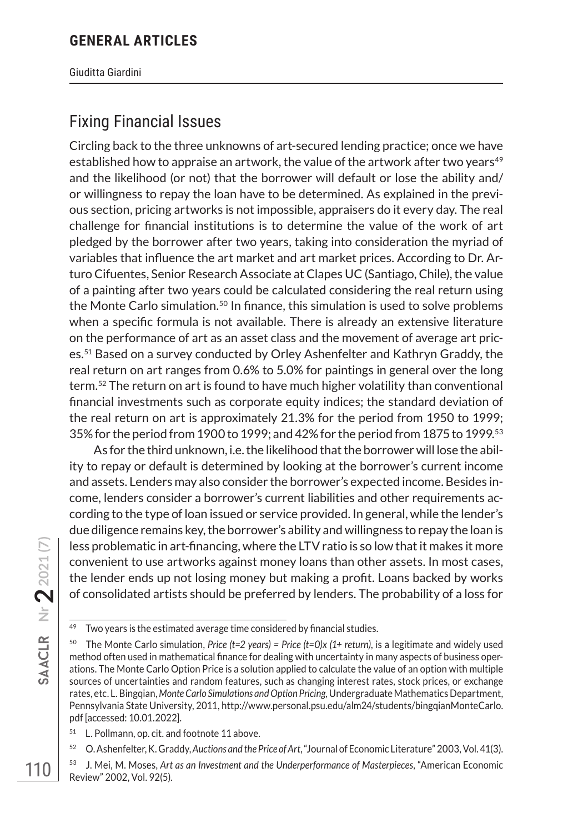Giuditta Giardini

## Fixing Financial Issues

Circling back to the three unknowns of art-secured lending practice; once we have established how to appraise an artwork, the value of the artwork after two years<sup>49</sup> and the likelihood (or not) that the borrower will default or lose the ability and/ or willingness to repay the loan have to be determined. As explained in the previous section, pricing artworks is not impossible, appraisers do it every day. The real challenge for financial institutions is to determine the value of the work of art pledged by the borrower after two years, taking into consideration the myriad of variables that influence the art market and art market prices. According to Dr. Arturo Cifuentes, Senior Research Associate at Clapes UC (Santiago, Chile), the value of a painting after two years could be calculated considering the real return using the Monte Carlo simulation.<sup>50</sup> In finance, this simulation is used to solve problems when a specific formula is not available. There is already an extensive literature on the performance of art as an asset class and the movement of average art prices.51 Based on a survey conducted by Orley Ashenfelter and Kathryn Graddy, the real return on art ranges from 0.6% to 5.0% for paintings in general over the long term.52 The return on art is found to have much higher volatility than conventional financial investments such as corporate equity indices; the standard deviation of the real return on art is approximately 21.3% for the period from 1950 to 1999; 35% for the period from 1900 to 1999; and 42% for the period from 1875 to 1999.53

As for the third unknown, i.e. the likelihood that the borrower will lose the ability to repay or default is determined by looking at the borrower's current income and assets. Lenders may also consider the borrower's expected income. Besides income, lenders consider a borrower's current liabilities and other requirements according to the type of loan issued or service provided. In general, while the lender's due diligence remains key, the borrower's ability and willingness to repay the loan is less problematic in art-financing, where the LTV ratio is so low that it makes it more convenient to use artworks against money loans than other assets. In most cases, the lender ends up not losing money but making a profit. Loans backed by works of consolidated artists should be preferred by lenders. The probability of a loss for

<sup>51</sup> L. Pollmann, op. cit. and footnote 11 above.

<sup>52</sup> O. Ashenfelter, K. Graddy, *Auctions and the Price of Art*, "Journal of Economic Literature" 2003, Vol. 41(3).

 $49$  Two years is the estimated average time considered by financial studies.

<sup>&</sup>lt;sup>50</sup> The Monte Carlo simulation, *Price (t=2 years) = Price (t=0)x (1+ return)*, is a legitimate and widely used method often used in mathematical finance for dealing with uncertainty in many aspects of business operations. The Monte Carlo Option Price is a solution applied to calculate the value of an option with multiple sources of uncertainties and random features, such as changing interest rates, stock prices, or exchange rates, etc. L. Bingqian, *Monte Carlo Simulations and Option Pricing,* Undergraduate Mathematics Department, Pennsylvania State University, 2011, http://www.personal.psu.edu/alm24/students/bingqianMonteCarlo. pdf [accessed: 10.01.2022].

<sup>53</sup> J. Mei, M. Moses, *Art as an Investment and the Underperformance of Masterpieces*, "American Economic Review" 2002, Vol. 92(5).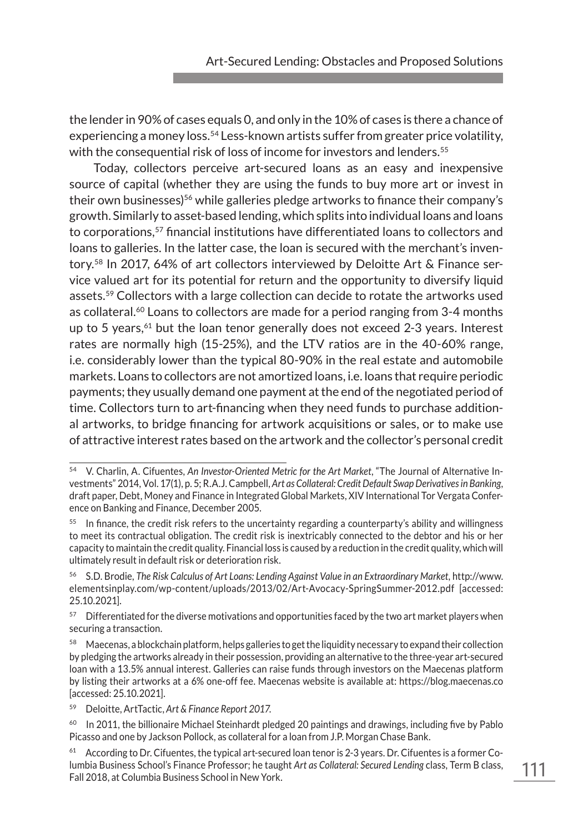the lender in 90% of cases equals 0, and only in the 10% of cases is there a chance of experiencing a money loss.<sup>54</sup> Less-known artists suffer from greater price volatility, with the consequential risk of loss of income for investors and lenders.<sup>55</sup>

Today, collectors perceive art-secured loans as an easy and inexpensive source of capital (whether they are using the funds to buy more art or invest in their own businesses)<sup>56</sup> while galleries pledge artworks to finance their company's growth. Similarly to asset-based lending, which splits into individual loans and loans to corporations,57 financial institutions have differentiated loans to collectors and loans to galleries. In the latter case, the loan is secured with the merchant's inventory.58 In 2017, 64% of art collectors interviewed by Deloitte Art & Finance service valued art for its potential for return and the opportunity to diversify liquid assets.59 Collectors with a large collection can decide to rotate the artworks used as collateral.60 Loans to collectors are made for a period ranging from 3-4 months up to 5 years, $61$  but the loan tenor generally does not exceed 2-3 years. Interest rates are normally high (15-25%), and the LTV ratios are in the 40-60% range, i.e. considerably lower than the typical 80-90% in the real estate and automobile markets. Loans to collectors are not amortized loans, i.e. loans that require periodic payments; they usually demand one payment at the end of the negotiated period of time. Collectors turn to art-financing when they need funds to purchase additional artworks, to bridge financing for artwork acquisitions or sales, or to make use of attractive interest rates based on the artwork and the collector's personal credit

<sup>59</sup> Deloitte, ArtTactic, *Art & Finance Report 2017*.

<sup>54</sup> V. Charlin, A. Cifuentes, *An Investor-Oriented Metric for the Art Market*, "The Journal of Alternative Investments" 2014, Vol. 17(1), p. 5; R.A.J. Campbell, *Art as Collateral: Credit Default Swap Derivatives in Banking*, draft paper, Debt, Money and Finance in Integrated Global Markets, XIV International Tor Vergata Conference on Banking and Finance, December 2005.

 $55$  In finance, the credit risk refers to the uncertainty regarding a counterparty's ability and willingness to meet its contractual obligation. The credit risk is inextricably connected to the debtor and his or her capacity to maintain the credit quality. Financial loss is caused by a reduction in the credit quality, which will ultimately result in default risk or deterioration risk.

<sup>56</sup> S.D. Brodie, *The Risk Calculus of Art Loans: Lending Against Value in an Extraordinary Market*, http://www. elementsinplay.com/wp-content/uploads/2013/02/Art-Avocacy-SpringSummer-2012.pdf [accessed: 25.10.2021].

Differentiated for the diverse motivations and opportunities faced by the two art market players when securing a transaction.

<sup>58</sup> Maecenas, a blockchain platform, helps galleries to get the liquidity necessary to expand their collection by pledging the artworks already in their possession, providing an alternative to the three-year art-secured loan with a 13.5% annual interest. Galleries can raise funds through investors on the Maecenas platform by listing their artworks at a 6% one-off fee. Maecenas website is available at: https://blog.maecenas.co [accessed: 25.10.2021].

 $60$  In 2011, the billionaire Michael Steinhardt pledged 20 paintings and drawings, including five by Pablo Picasso and one by Jackson Pollock, as collateral for a loan from J.P. Morgan Chase Bank.

 $61$  According to Dr. Cifuentes, the typical art-secured loan tenor is 2-3 years. Dr. Cifuentes is a former Columbia Business School's Finance Professor; he taught *Art as Collateral: Secured Lending* class, Term B class, Fall 2018, at Columbia Business School in New York.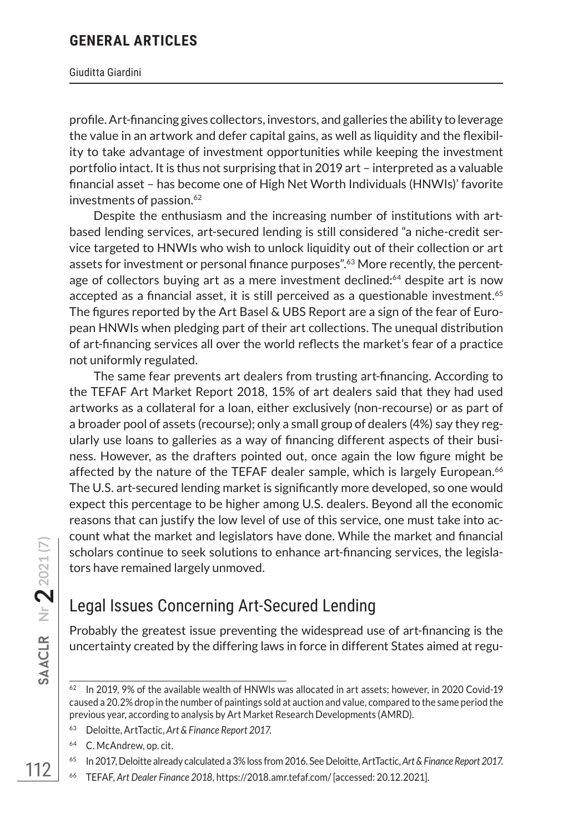#### Giuditta Giardini

profile. Art-financing gives collectors, investors, and galleries the ability to leverage the value in an artwork and defer capital gains, as well as liquidity and the flexibility to take advantage of investment opportunities while keeping the investment portfolio intact. It is thus not surprising that in 2019 art – interpreted as a valuable financial asset – has become one of High Net Worth Individuals (HNWIs)' favorite investments of passion.<sup>62</sup>

Despite the enthusiasm and the increasing number of institutions with artbased lending services, art-secured lending is still considered "a niche-credit service targeted to HNWIs who wish to unlock liquidity out of their collection or art assets for investment or personal finance purposes".<sup>63</sup> More recently, the percentage of collectors buying art as a mere investment declined:<sup>64</sup> despite art is now accepted as a financial asset, it is still perceived as a questionable investment.65 The figures reported by the Art Basel & UBS Report are a sign of the fear of European HNWIs when pledging part of their art collections. The unequal distribution of art-financing services all over the world reflects the market's fear of a practice not uniformly regulated.

The same fear prevents art dealers from trusting art-financing. According to the TEFAF Art Market Report 2018, 15% of art dealers said that they had used artworks as a collateral for a loan, either exclusively (non-recourse) or as part of a broader pool of assets (recourse); only a small group of dealers (4%) say they regularly use loans to galleries as a way of financing different aspects of their business. However, as the drafters pointed out, once again the low figure might be affected by the nature of the TEFAF dealer sample, which is largely European.<sup>66</sup> The U.S. art-secured lending market is significantly more developed, so one would expect this percentage to be higher among U.S. dealers. Beyond all the economic reasons that can justify the low level of use of this service, one must take into account what the market and legislators have done. While the market and financial scholars continue to seek solutions to enhance art-financing services, the legislators have remained largely unmoved.

## Legal Issues Concerning Art-Secured Lending

Probably the greatest issue preventing the widespread use of art-financing is the uncertainty created by the differing laws in force in different States aimed at regu-

- <sup>63</sup> Deloitte, ArtTactic, *Art & Finance Report 2017*.
- <sup>64</sup> C. McAndrew, op. cit.

<sup>66</sup> TEFAF, *Art Dealer Finance 2018*, https://2018.amr.tefaf.com/ [accessed: 20.12.2021].

 $62$  In 2019, 9% of the available wealth of HNWIs was allocated in art assets; however, in 2020 Covid-19 caused a 20.2% drop in the number of paintings sold at auction and value, compared to the same period the previous year, according to analysis by Art Market Research Developments (AMRD).

<sup>65</sup> In 2017, Deloitte already calculated a 3% loss from 2016. See Deloitte, ArtTactic, *Art & Finance Report 2017*.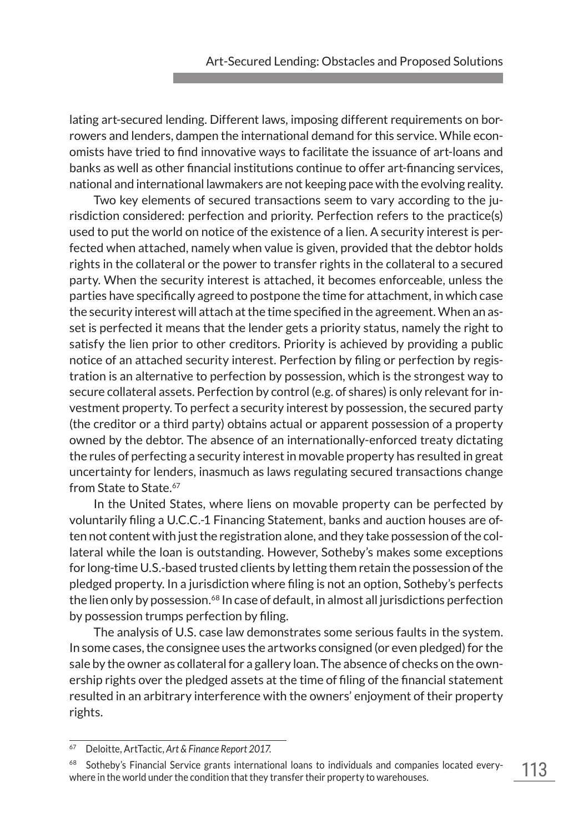lating art-secured lending. Different laws, imposing different requirements on borrowers and lenders, dampen the international demand for this service. While economists have tried to find innovative ways to facilitate the issuance of art-loans and banks as well as other financial institutions continue to offer art-financing services, national and international lawmakers are not keeping pace with the evolving reality.

Two key elements of secured transactions seem to vary according to the jurisdiction considered: perfection and priority. Perfection refers to the practice(s) used to put the world on notice of the existence of a lien. A security interest is perfected when attached, namely when value is given, provided that the debtor holds rights in the collateral or the power to transfer rights in the collateral to a secured party. When the security interest is attached, it becomes enforceable, unless the parties have specifically agreed to postpone the time for attachment, in which case the security interest will attach at the time specified in the agreement. When an asset is perfected it means that the lender gets a priority status, namely the right to satisfy the lien prior to other creditors. Priority is achieved by providing a public notice of an attached security interest. Perfection by filing or perfection by registration is an alternative to perfection by possession, which is the strongest way to secure collateral assets. Perfection by control (e.g. of shares) is only relevant for investment property. To perfect a security interest by possession, the secured party (the creditor or a third party) obtains actual or apparent possession of a property owned by the debtor. The absence of an internationally-enforced treaty dictating the rules of perfecting a security interest in movable property has resulted in great uncertainty for lenders, inasmuch as laws regulating secured transactions change from State to State.<sup>67</sup>

In the United States, where liens on movable property can be perfected by voluntarily filing a U.C.C.-1 Financing Statement, banks and auction houses are often not content with just the registration alone, and they take possession of the collateral while the loan is outstanding. However, Sotheby's makes some exceptions for long-time U.S.-based trusted clients by letting them retain the possession of the pledged property. In a jurisdiction where filing is not an option, Sotheby's perfects the lien only by possession.<sup>68</sup> In case of default, in almost all jurisdictions perfection by possession trumps perfection by filing.

The analysis of U.S. case law demonstrates some serious faults in the system. In some cases, the consignee uses the artworks consigned (or even pledged) for the sale by the owner as collateral for a gallery loan. The absence of checks on the ownership rights over the pledged assets at the time of filing of the financial statement resulted in an arbitrary interference with the owners' enjoyment of their property rights.

<sup>67</sup> Deloitte, ArtTactic, *Art & Finance Report 2017*.

<sup>&</sup>lt;sup>68</sup> Sotheby's Financial Service grants international loans to individuals and companies located everywhere in the world under the condition that they transfer their property to warehouses.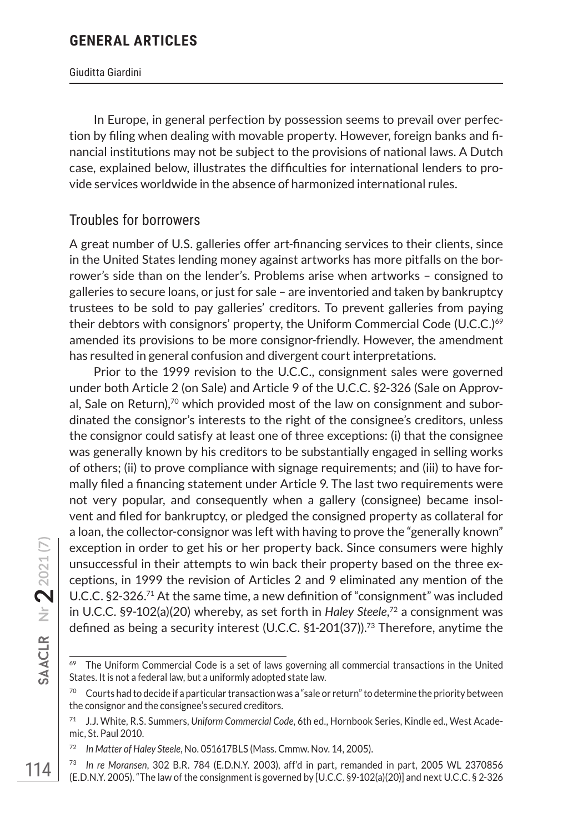#### Giuditta Giardini

In Europe, in general perfection by possession seems to prevail over perfection by filing when dealing with movable property. However, foreign banks and financial institutions may not be subject to the provisions of national laws. A Dutch case, explained below, illustrates the difficulties for international lenders to provide services worldwide in the absence of harmonized international rules.

#### Troubles for borrowers

A great number of U.S. galleries offer art-financing services to their clients, since in the United States lending money against artworks has more pitfalls on the borrower's side than on the lender's. Problems arise when artworks – consigned to galleries to secure loans, or just for sale – are inventoried and taken by bankruptcy trustees to be sold to pay galleries' creditors. To prevent galleries from paying their debtors with consignors' property, the Uniform Commercial Code (U.C.C.)<sup>69</sup> amended its provisions to be more consignor-friendly. However, the amendment has resulted in general confusion and divergent court interpretations.

Prior to the 1999 revision to the U.C.C., consignment sales were governed under both Article 2 (on Sale) and Article 9 of the U.C.C. §2-326 (Sale on Approval, Sale on Return),<sup>70</sup> which provided most of the law on consignment and subordinated the consignor's interests to the right of the consignee's creditors, unless the consignor could satisfy at least one of three exceptions: (i) that the consignee was generally known by his creditors to be substantially engaged in selling works of others; (ii) to prove compliance with signage requirements; and (iii) to have formally filed a financing statement under Article 9. The last two requirements were not very popular, and consequently when a gallery (consignee) became insolvent and filed for bankruptcy, or pledged the consigned property as collateral for a loan, the collector-consignor was left with having to prove the "generally known" exception in order to get his or her property back. Since consumers were highly unsuccessful in their attempts to win back their property based on the three exceptions, in 1999 the revision of Articles 2 and 9 eliminated any mention of the U.C.C. §2-326.71 At the same time, a new definition of "consignment" was included in U.C.C. §9-102(a)(20) whereby, as set forth in *Haley Steele*, 72 a consignment was defined as being a security interest (U.C.C. §1-201(37)).73 Therefore, anytime the

 $69$  The Uniform Commercial Code is a set of laws governing all commercial transactions in the United States. It is not a federal law, but a uniformly adopted state law.

 $70$  Courts had to decide if a particular transaction was a "sale or return" to determine the priority between the consignor and the consignee's secured creditors.

<sup>71</sup> J.J. White, R.S. Summers, *Uniform Commercial Code*, 6th ed., Hornbook Series, Kindle ed., West Academic, St. Paul 2010.

<sup>72</sup> *In Matter of Haley Steele*, No. 051617BLS (Mass. Cmmw. Nov. 14, 2005).

<sup>73</sup> *In re Moransen*, 302 B.R. 784 (E.D.N.Y. 2003), aff'd in part, remanded in part, 2005 WL 2370856 (E.D.N.Y. 2005). "The law of the consignment is governed by [U.C.C. §9-102(a)(20)] and next U.C.C. § 2-326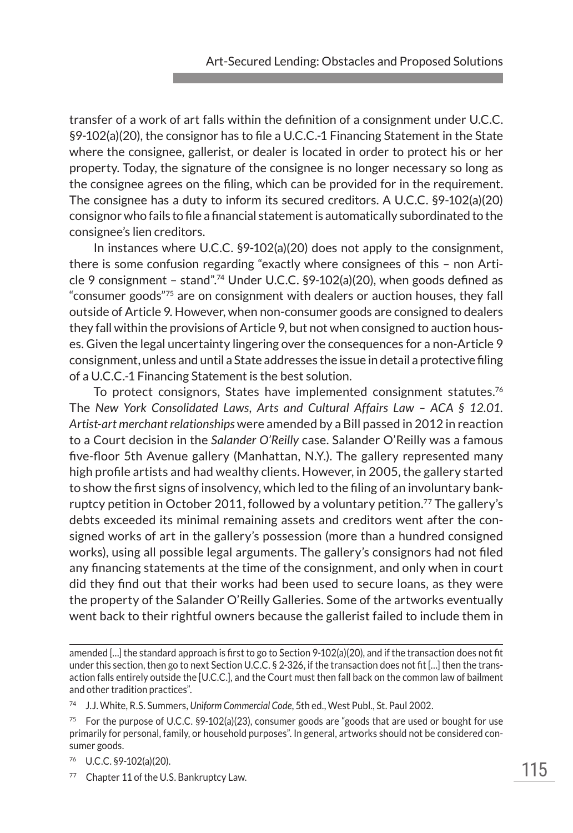transfer of a work of art falls within the definition of a consignment under U.C.C. §9-102(a)(20), the consignor has to file a U.C.C.-1 Financing Statement in the State where the consignee, gallerist, or dealer is located in order to protect his or her property. Today, the signature of the consignee is no longer necessary so long as the consignee agrees on the filing, which can be provided for in the requirement. The consignee has a duty to inform its secured creditors. A U.C.C. §9-102(a)(20) consignor who fails to file a financial statement is automatically subordinated to the consignee's lien creditors.

In instances where U.C.C. §9-102(a)(20) does not apply to the consignment, there is some confusion regarding "exactly where consignees of this – non Article 9 consignment – stand".<sup>74</sup> Under U.C.C.  $\S9-102(a)(20)$ , when goods defined as "consumer goods"75 are on consignment with dealers or auction houses, they fall outside of Article 9. However, when non-consumer goods are consigned to dealers they fall within the provisions of Article 9, but not when consigned to auction houses. Given the legal uncertainty lingering over the consequences for a non-Article 9 consignment, unless and until a State addresses the issue in detail a protective filing of a U.C.C.-1 Financing Statement is the best solution.

To protect consignors, States have implemented consignment statutes.<sup>76</sup> The *New York Consolidated Laws, Arts and Cultural Affairs Law – ACA § 12.01. Artist-art merchant relationships* were amended by a Bill passed in 2012 in reaction to a Court decision in the *Salander O'Reilly* case. Salander O'Reilly was a famous five-floor 5th Avenue gallery (Manhattan, N.Y.). The gallery represented many high profile artists and had wealthy clients. However, in 2005, the gallery started to show the first signs of insolvency, which led to the filing of an involuntary bankruptcy petition in October 2011, followed by a voluntary petition.<sup>77</sup> The gallery's debts exceeded its minimal remaining assets and creditors went after the consigned works of art in the gallery's possession (more than a hundred consigned works), using all possible legal arguments. The gallery's consignors had not filed any financing statements at the time of the consignment, and only when in court did they find out that their works had been used to secure loans, as they were the property of the Salander O'Reilly Galleries. Some of the artworks eventually went back to their rightful owners because the gallerist failed to include them in

<sup>77</sup> Chapter 11 of the U.S. Bankruptcy Law.

amended […] the standard approach is first to go to Section 9-102(a)(20), and if the transaction does not fit under this section, then go to next Section U.C.C. § 2-326, if the transaction does not fit […] then the transaction falls entirely outside the [U.C.C.], and the Court must then fall back on the common law of bailment and other tradition practices".

<sup>74</sup> J.J. White, R.S. Summers, *Uniform Commercial Code*, 5th ed., West Publ., St. Paul 2002.

<sup>&</sup>lt;sup>75</sup> For the purpose of U.C.C. §9-102(a)(23), consumer goods are "goods that are used or bought for use primarily for personal, family, or household purposes". In general, artworks should not be considered consumer goods.

<sup>76</sup> U.C.C. §9-102(a)(20).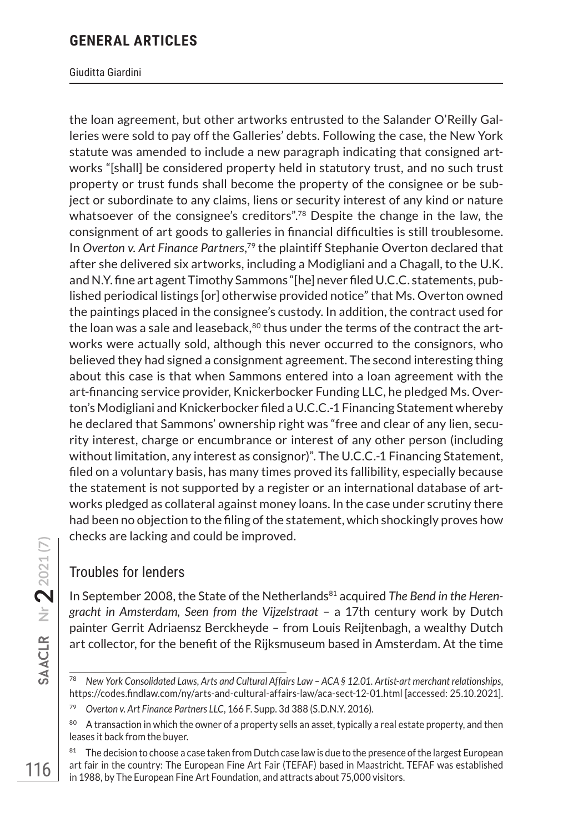#### Giuditta Giardini

the loan agreement, but other artworks entrusted to the Salander O'Reilly Galleries were sold to pay off the Galleries' debts. Following the case, the New York statute was amended to include a new paragraph indicating that consigned artworks "[shall] be considered property held in statutory trust, and no such trust property or trust funds shall become the property of the consignee or be subject or subordinate to any claims, liens or security interest of any kind or nature whatsoever of the consignee's creditors".<sup>78</sup> Despite the change in the law, the consignment of art goods to galleries in financial difficulties is still troublesome. In *Overton v. Art Finance Partners*, <sup>79</sup> the plaintiff Stephanie Overton declared that after she delivered six artworks, including a Modigliani and a Chagall, to the U.K. and N.Y. fine art agent Timothy Sammons "[he] never filed U.C.C. statements, published periodical listings [or] otherwise provided notice" that Ms. Overton owned the paintings placed in the consignee's custody. In addition, the contract used for the loan was a sale and leaseback, $80$  thus under the terms of the contract the artworks were actually sold, although this never occurred to the consignors, who believed they had signed a consignment agreement. The second interesting thing about this case is that when Sammons entered into a loan agreement with the art-financing service provider, Knickerbocker Funding LLC, he pledged Ms. Overton's Modigliani and Knickerbocker filed a U.C.C.-1 Financing Statement whereby he declared that Sammons' ownership right was "free and clear of any lien, security interest, charge or encumbrance or interest of any other person (including without limitation, any interest as consignor)". The U.C.C.-1 Financing Statement, filed on a voluntary basis, has many times proved its fallibility, especially because the statement is not supported by a register or an international database of artworks pledged as collateral against money loans. In the case under scrutiny there had been no objection to the filing of the statement, which shockingly proves how checks are lacking and could be improved.

## Troubles for lenders

In September 2008, the State of the Netherlands<sup>81</sup> acquired *The Bend in the Herengracht in Amsterdam, Seen from the Vijzelstraat* – a 17th century work by Dutch painter Gerrit Adriaensz Berckheyde – from Louis Reijtenbagh, a wealthy Dutch art collector, for the benefit of the Rijksmuseum based in Amsterdam. At the time

<sup>78</sup> *New York Consolidated Laws, Arts and Cultural Affairs Law – ACA § 12.01. Artist-art merchant relationships*, https://codes.findlaw.com/ny/arts-and-cultural-affairs-law/aca-sect-12-01.html [accessed: 25.10.2021].

<sup>79</sup> *Overton v. Art Finance Partners LLC*, 166 F. Supp. 3d 388 (S.D.N.Y. 2016).

<sup>&</sup>lt;sup>80</sup> A transaction in which the owner of a property sells an asset, typically a real estate property, and then leases it back from the buyer.

<sup>81</sup> The decision to choose a case taken from Dutch case law is due to the presence of the largest European art fair in the country: The European Fine Art Fair (TEFAF) based in Maastricht. TEFAF was established in 1988, by The European Fine Art Foundation, and attracts about 75,000 visitors.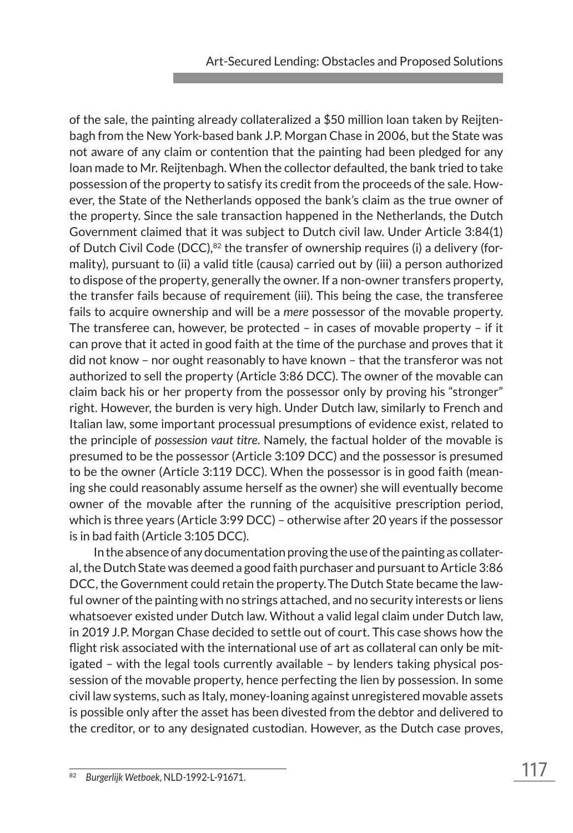of the sale, the painting already collateralized a \$50 million loan taken by Reijtenbagh from the New York-based bank J.P. Morgan Chase in 2006, but the State was not aware of any claim or contention that the painting had been pledged for any loan made to Mr. Reijtenbagh. When the collector defaulted, the bank tried to take possession of the property to satisfy its credit from the proceeds of the sale. However, the State of the Netherlands opposed the bank's claim as the true owner of the property. Since the sale transaction happened in the Netherlands, the Dutch Government claimed that it was subject to Dutch civil law. Under Article 3:84(1) of Dutch Civil Code (DCC), $82$  the transfer of ownership requires (i) a delivery (formality), pursuant to (ii) a valid title (causa) carried out by (iii) a person authorized to dispose of the property, generally the owner. If a non-owner transfers property, the transfer fails because of requirement (iii). This being the case, the transferee fails to acquire ownership and will be a *mere* possessor of the movable property. The transferee can, however, be protected – in cases of movable property – if it can prove that it acted in good faith at the time of the purchase and proves that it did not know – nor ought reasonably to have known – that the transferor was not authorized to sell the property (Article 3:86 DCC). The owner of the movable can claim back his or her property from the possessor only by proving his "stronger" right. However, the burden is very high. Under Dutch law, similarly to French and Italian law, some important processual presumptions of evidence exist, related to the principle of *possession vaut titre*. Namely, the factual holder of the movable is presumed to be the possessor (Article 3:109 DCC) and the possessor is presumed to be the owner (Article 3:119 DCC). When the possessor is in good faith (meaning she could reasonably assume herself as the owner) she will eventually become owner of the movable after the running of the acquisitive prescription period, which is three years (Article 3:99 DCC) – otherwise after 20 years if the possessor is in bad faith (Article 3:105 DCC).

In the absence of any documentation proving the use of the painting as collateral, the Dutch State was deemed a good faith purchaser and pursuant to Article 3:86 DCC, the Government could retain the property.The Dutch State became the lawful owner of the painting with no strings attached, and no security interests or liens whatsoever existed under Dutch law. Without a valid legal claim under Dutch law, in 2019 J.P. Morgan Chase decided to settle out of court. This case shows how the flight risk associated with the international use of art as collateral can only be mitigated – with the legal tools currently available – by lenders taking physical possession of the movable property, hence perfecting the lien by possession. In some civil law systems, such as Italy, money-loaning against unregistered movable assets is possible only after the asset has been divested from the debtor and delivered to the creditor, or to any designated custodian. However, as the Dutch case proves,

<sup>82</sup> *Burgerlijk Wetboek*, NLD-1992-L-91671.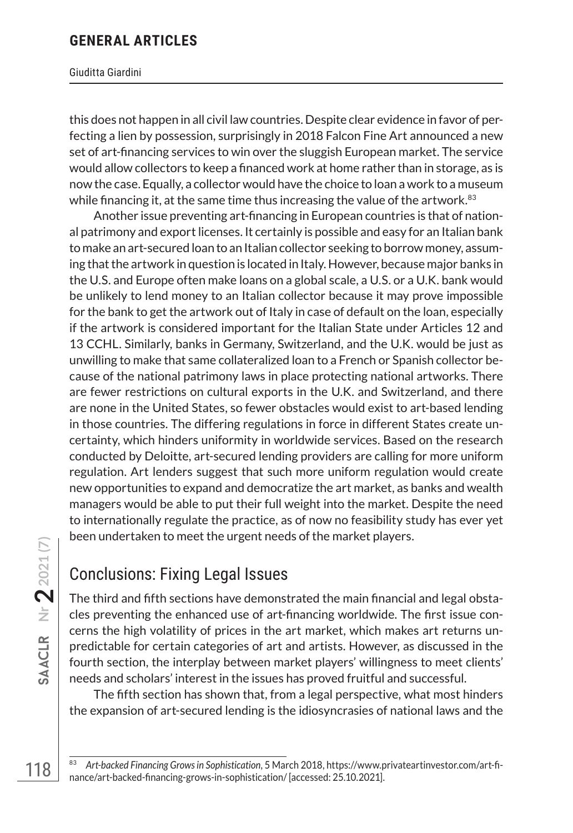#### Giuditta Giardini

this does not happen in all civil law countries. Despite clear evidence in favor of perfecting a lien by possession, surprisingly in 2018 Falcon Fine Art announced a new set of art-financing services to win over the sluggish European market. The service would allow collectors to keep a financed work at home rather than in storage, as is now the case. Equally, a collector would have the choice to loan a work to a museum while financing it, at the same time thus increasing the value of the artwork.<sup>83</sup>

Another issue preventing art-financing in European countries is that of national patrimony and export licenses. It certainly is possible and easy for an Italian bank to make an art-secured loan to an Italian collector seeking to borrow money, assuming that the artwork in question is located in Italy. However, because major banks in the U.S. and Europe often make loans on a global scale, a U.S. or a U.K. bank would be unlikely to lend money to an Italian collector because it may prove impossible for the bank to get the artwork out of Italy in case of default on the loan, especially if the artwork is considered important for the Italian State under Articles 12 and 13 CCHL. Similarly, banks in Germany, Switzerland, and the U.K. would be just as unwilling to make that same collateralized loan to a French or Spanish collector because of the national patrimony laws in place protecting national artworks. There are fewer restrictions on cultural exports in the U.K. and Switzerland, and there are none in the United States, so fewer obstacles would exist to art-based lending in those countries. The differing regulations in force in different States create uncertainty, which hinders uniformity in worldwide services. Based on the research conducted by Deloitte, art-secured lending providers are calling for more uniform regulation. Art lenders suggest that such more uniform regulation would create new opportunities to expand and democratize the art market, as banks and wealth managers would be able to put their full weight into the market. Despite the need to internationally regulate the practice, as of now no feasibility study has ever yet been undertaken to meet the urgent needs of the market players.

## Conclusions: Fixing Legal Issues

The third and fifth sections have demonstrated the main financial and legal obstacles preventing the enhanced use of art-financing worldwide. The first issue concerns the high volatility of prices in the art market, which makes art returns unpredictable for certain categories of art and artists. However, as discussed in the fourth section, the interplay between market players' willingness to meet clients' needs and scholars' interest in the issues has proved fruitful and successful.

The fifth section has shown that, from a legal perspective, what most hinders the expansion of art-secured lending is the idiosyncrasies of national laws and the

<sup>83</sup> *Art-backed Financing Grows in Sophistication*, 5 March 2018, https://www.privateartinvestor.com/art-finance/art-backed-financing-grows-in-sophistication/ [accessed: 25.10.2021].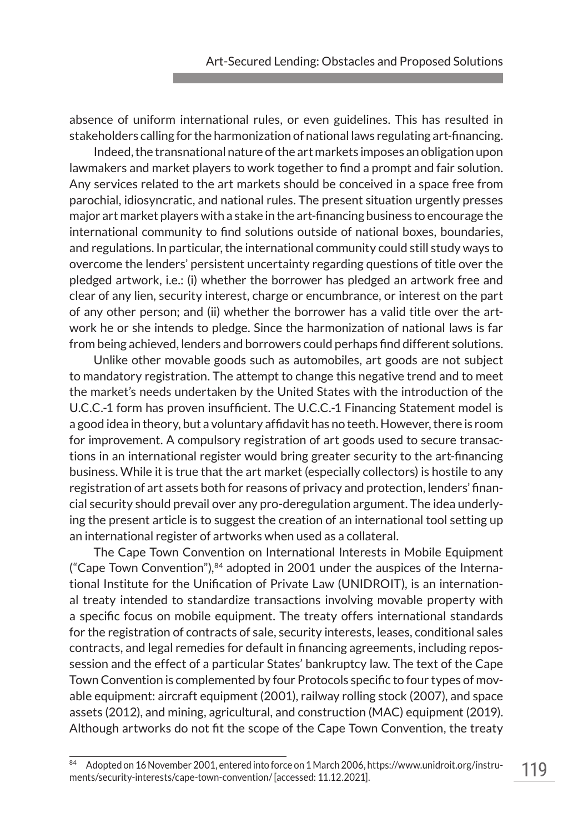absence of uniform international rules, or even guidelines. This has resulted in stakeholders calling for the harmonization of national laws regulating art-financing.

Indeed, the transnational nature of the art markets imposes an obligation upon lawmakers and market players to work together to find a prompt and fair solution. Any services related to the art markets should be conceived in a space free from parochial, idiosyncratic, and national rules. The present situation urgently presses major art market players with a stake in the art-financing business to encourage the international community to find solutions outside of national boxes, boundaries, and regulations. In particular, the international community could still study ways to overcome the lenders' persistent uncertainty regarding questions of title over the pledged artwork, i.e.: (i) whether the borrower has pledged an artwork free and clear of any lien, security interest, charge or encumbrance, or interest on the part of any other person; and (ii) whether the borrower has a valid title over the artwork he or she intends to pledge. Since the harmonization of national laws is far from being achieved, lenders and borrowers could perhaps find different solutions.

Unlike other movable goods such as automobiles, art goods are not subject to mandatory registration. The attempt to change this negative trend and to meet the market's needs undertaken by the United States with the introduction of the U.C.C.-1 form has proven insufficient. The U.C.C.-1 Financing Statement model is a good idea in theory, but a voluntary affidavit has no teeth. However, there is room for improvement. A compulsory registration of art goods used to secure transactions in an international register would bring greater security to the art-financing business. While it is true that the art market (especially collectors) is hostile to any registration of art assets both for reasons of privacy and protection, lenders' financial security should prevail over any pro-deregulation argument. The idea underlying the present article is to suggest the creation of an international tool setting up an international register of artworks when used as a collateral.

The Cape Town Convention on International Interests in Mobile Equipment ("Cape Town Convention"), $84$  adopted in 2001 under the auspices of the International Institute for the Unification of Private Law (UNIDROIT), is an international treaty intended to standardize transactions involving movable property with a specific focus on mobile equipment. The treaty offers international standards for the registration of contracts of sale, security interests, leases, conditional sales contracts, and legal remedies for default in financing agreements, including repossession and the effect of a particular States' bankruptcy law. The text of the Cape Town Convention is complemented by four Protocols specific to four types of movable equipment: aircraft equipment (2001), railway rolling stock (2007), and space assets (2012), and mining, agricultural, and construction (MAC) equipment (2019). Although artworks do not fit the scope of the Cape Town Convention, the treaty

<sup>84</sup> Adopted on 16 November 2001, entered into force on 1 March 2006, https://www.unidroit.org/instruments/security-interests/cape-town-convention/ [accessed: 11.12.2021].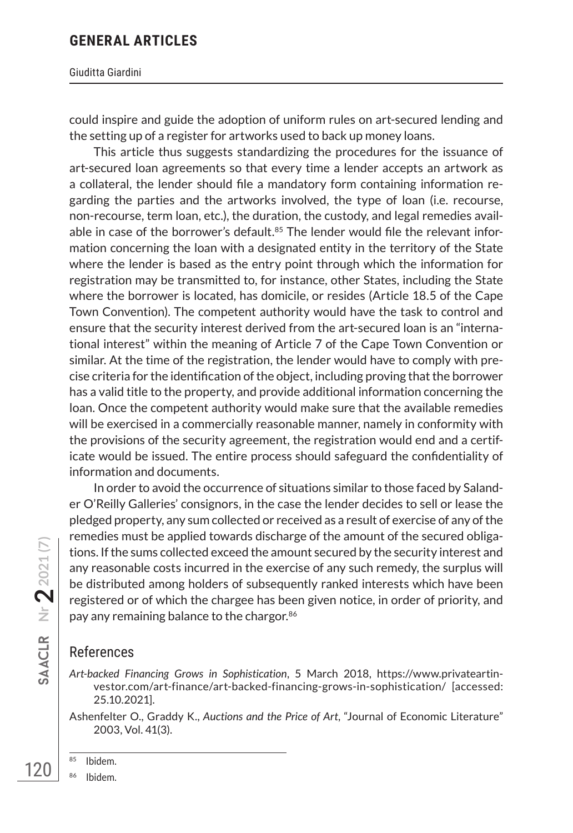Giuditta Giardini

could inspire and guide the adoption of uniform rules on art-secured lending and the setting up of a register for artworks used to back up money loans.

This article thus suggests standardizing the procedures for the issuance of art-secured loan agreements so that every time a lender accepts an artwork as a collateral, the lender should file a mandatory form containing information regarding the parties and the artworks involved, the type of loan (i.e. recourse, non-recourse, term loan, etc.), the duration, the custody, and legal remedies available in case of the borrower's default. $85$  The lender would file the relevant information concerning the loan with a designated entity in the territory of the State where the lender is based as the entry point through which the information for registration may be transmitted to, for instance, other States, including the State where the borrower is located, has domicile, or resides (Article 18.5 of the Cape Town Convention). The competent authority would have the task to control and ensure that the security interest derived from the art-secured loan is an "international interest" within the meaning of Article 7 of the Cape Town Convention or similar. At the time of the registration, the lender would have to comply with precise criteria for the identification of the object, including proving that the borrower has a valid title to the property, and provide additional information concerning the loan. Once the competent authority would make sure that the available remedies will be exercised in a commercially reasonable manner, namely in conformity with the provisions of the security agreement, the registration would end and a certificate would be issued. The entire process should safeguard the confidentiality of information and documents.

In order to avoid the occurrence of situations similar to those faced by Salander O'Reilly Galleries' consignors, in the case the lender decides to sell or lease the pledged property, any sum collected or received as a result of exercise of any of the remedies must be applied towards discharge of the amount of the secured obligations. If the sums collected exceed the amount secured by the security interest and any reasonable costs incurred in the exercise of any such remedy, the surplus will be distributed among holders of subsequently ranked interests which have been registered or of which the chargee has been given notice, in order of priority, and pay any remaining balance to the chargor.<sup>86</sup>

## References

*Art-backed Financing Grows in Sophistication*, 5 March 2018, https://www.privateartinvestor.com/art-finance/art-backed-financing-grows-in-sophistication/ [accessed: 25.10.2021].

Ashenfelter O., Graddy K., *Auctions and the Price of Art*, "Journal of Economic Literature" 2003, Vol. 41(3).

**Nr**

**22021 (7)**

- <sup>85</sup> Ibidem.
- <sup>86</sup> Ibidem.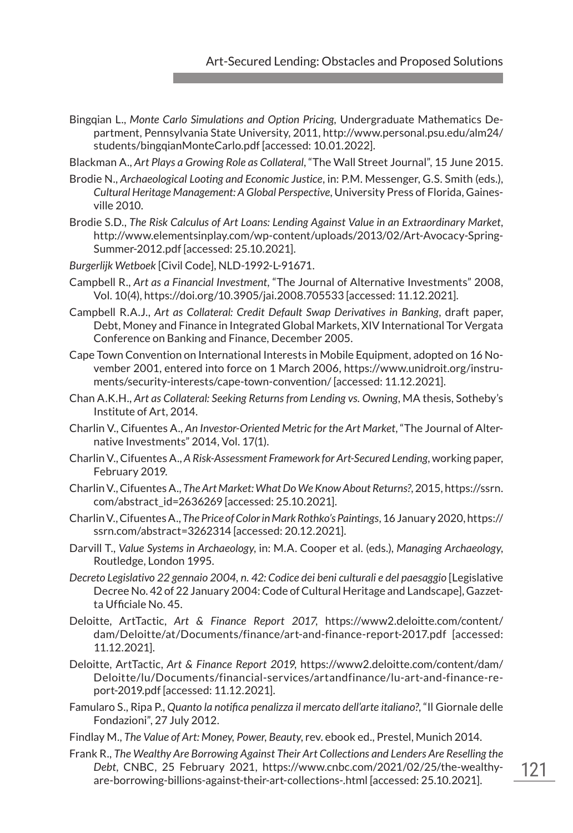- Bingqian L., *Monte Carlo Simulations and Option Pricing,* Undergraduate Mathematics Department, Pennsylvania State University, 2011, http://www.personal.psu.edu/alm24/ students/bingqianMonteCarlo.pdf [accessed: 10.01.2022].
- Blackman A., *Art Plays a Growing Role as Collateral*, "The Wall Street Journal", 15 June 2015.
- Brodie N., *Archaeological Looting and Economic Justice*, in: P.M. Messenger, G.S. Smith (eds.), *Cultural Heritage Management: A Global Perspective*, University Press of Florida, Gainesville 2010.
- Brodie S.D., *The Risk Calculus of Art Loans: Lending Against Value in an Extraordinary Market*, http://www.elementsinplay.com/wp-content/uploads/2013/02/Art-Avocacy-Spring-Summer-2012.pdf [accessed: 25.10.2021].
- *Burgerlijk Wetboek* [Civil Code], NLD-1992-L-91671.
- Campbell R., *Art as a Financial Investment*, "The Journal of Alternative Investments" 2008, Vol. 10(4), https://doi.org/10.3905/jai.2008.705533 [accessed: 11.12.2021].
- Campbell R.A.J., *Art as Collateral: Credit Default Swap Derivatives in Banking*, draft paper, Debt, Money and Finance in Integrated Global Markets, XIV International Tor Vergata Conference on Banking and Finance, December 2005.
- Cape Town Convention on International Interests in Mobile Equipment, adopted on 16 November 2001, entered into force on 1 March 2006, https://www.unidroit.org/instruments/security-interests/cape-town-convention/ [accessed: 11.12.2021].
- Chan A.K.H., *Art as Collateral: Seeking Returns from Lending vs. Owning*, MA thesis, Sotheby's Institute of Art, 2014.
- Charlin V., Cifuentes A., *An Investor-Oriented Metric for the Art Market*, "The Journal of Alternative Investments" 2014, Vol. 17(1).
- Charlin V., Cifuentes A., *A Risk-Assessment Framework for Art-Secured Lending*, working paper, February 2019.
- Charlin V., Cifuentes A., *The Art Market: What Do We Know About Returns?*, 2015, https://ssrn. com/abstract\_id=2636269 [accessed: 25.10.2021].
- Charlin V., Cifuentes A., *The Price of Color in Mark Rothko's Paintings*,16 January 2020, https:// ssrn.com/abstract=3262314 [accessed: 20.12.2021].
- Darvill T., *Value Systems in Archaeology*, in: M.A. Cooper et al. (eds.), *Managing Archaeology*, Routledge, London 1995.
- *Decreto Legislativo 22 gennaio 2004, n. 42: Codice dei beni culturali e del paesaggio* [Legislative Decree No. 42 of 22 January 2004: Code of Cultural Heritage and Landscape], Gazzetta Ufficiale No. 45.
- Deloitte, ArtTactic, *Art & Finance Report 2017*, https://www2.deloitte.com/content/ dam/Deloitte/at/Documents/finance/art-and-finance-report-2017.pdf [accessed: 11.12.2021].
- Deloitte, ArtTactic, *Art & Finance Report 2019*, https://www2.deloitte.com/content/dam/ Deloitte/lu/Documents/financial-services/artandfinance/lu-art-and-finance-report-2019.pdf [accessed: 11.12.2021].
- Famularo S., Ripa P., *Quanto la notifica penalizza il mercato dell'arte italiano?*, "Il Giornale delle Fondazioni", 27 July 2012.
- Findlay M., *The Value of Art: Money, Power, Beauty*, rev. ebook ed., Prestel, Munich 2014.
- Frank R., *The Wealthy Are Borrowing Against Their Art Collections and Lenders Are Reselling the Debt*, CNBC, 25 February 2021, https://www.cnbc.com/2021/02/25/the-wealthyare-borrowing-billions-against-their-art-collections-.html [accessed: 25.10.2021].